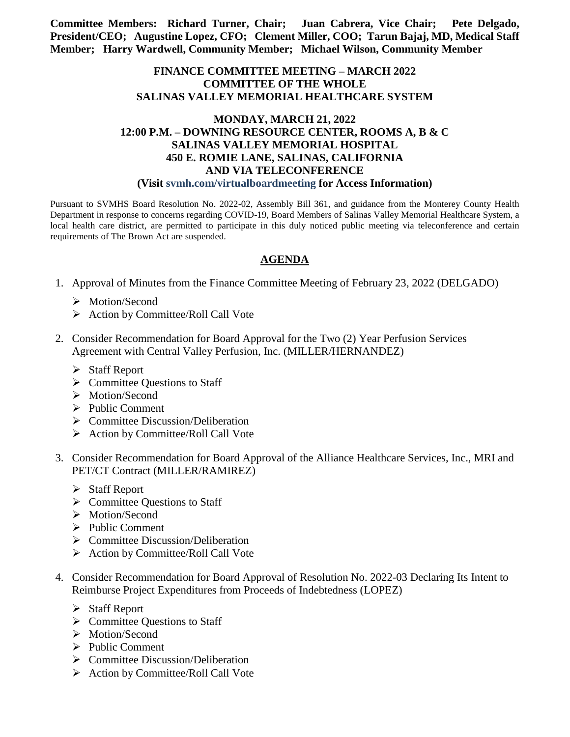**Committee Members: Richard Turner, Chair; Juan Cabrera, Vice Chair; Pete Delgado, President/CEO; Augustine Lopez, CFO; Clement Miller, COO; Tarun Bajaj, MD, Medical Staff Member; Harry Wardwell, Community Member; Michael Wilson, Community Member**

## **FINANCE COMMITTEE MEETING – MARCH 2022 COMMITTEE OF THE WHOLE SALINAS VALLEY MEMORIAL HEALTHCARE SYSTEM**

## **MONDAY, MARCH 21, 2022 12:00 P.M. – DOWNING RESOURCE CENTER, ROOMS A, B & C SALINAS VALLEY MEMORIAL HOSPITAL 450 E. ROMIE LANE, SALINAS, CALIFORNIA AND VIA TELECONFERENCE (Visit svmh.com/virtualboardmeeting for Access Information)**

Pursuant to SVMHS Board Resolution No. 2022-02, Assembly Bill 361, and guidance from the Monterey County Health Department in response to concerns regarding COVID-19, Board Members of Salinas Valley Memorial Healthcare System, a local health care district, are permitted to participate in this duly noticed public meeting via teleconference and certain requirements of The Brown Act are suspended.

## **AGENDA**

- 1. Approval of Minutes from the Finance Committee Meeting of February 23, 2022 (DELGADO)
	- > Motion/Second
	- $\triangleright$  Action by Committee/Roll Call Vote
- 2. Consider Recommendation for Board Approval for the Two (2) Year Perfusion Services Agreement with Central Valley Perfusion, Inc. (MILLER/HERNANDEZ)
	- $\triangleright$  Staff Report
	- $\triangleright$  Committee Ouestions to Staff
	- > Motion/Second
	- $\triangleright$  Public Comment
	- $\triangleright$  Committee Discussion/Deliberation
	- $\triangleright$  Action by Committee/Roll Call Vote
- 3. Consider Recommendation for Board Approval of the Alliance Healthcare Services, Inc., MRI and PET/CT Contract (MILLER/RAMIREZ)
	- Staff Report
	- $\triangleright$  Committee Questions to Staff
	- > Motion/Second
	- $\triangleright$  Public Comment
	- $\triangleright$  Committee Discussion/Deliberation
	- $\triangleright$  Action by Committee/Roll Call Vote
- 4. Consider Recommendation for Board Approval of Resolution No. 2022-03 Declaring Its Intent to Reimburse Project Expenditures from Proceeds of Indebtedness (LOPEZ)
	- Staff Report
	- $\triangleright$  Committee Questions to Staff
	- > Motion/Second
	- $\triangleright$  Public Comment
	- $\triangleright$  Committee Discussion/Deliberation
	- $\triangleright$  Action by Committee/Roll Call Vote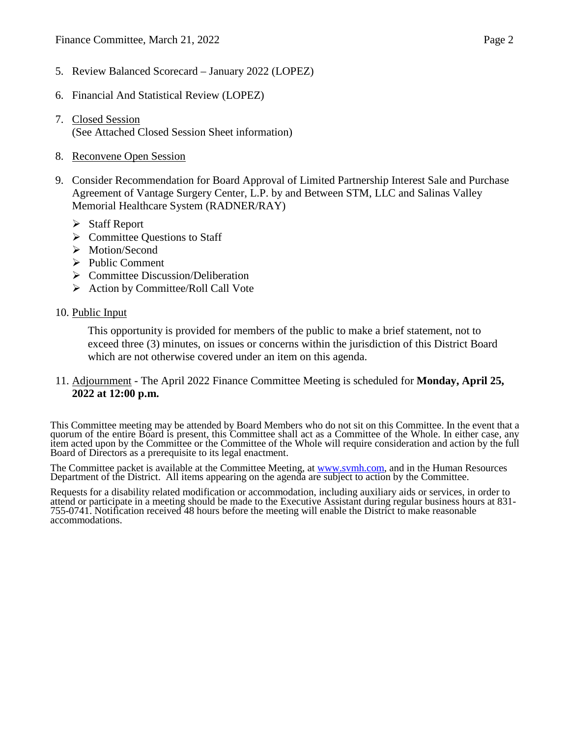- 5. Review Balanced Scorecard January 2022 (LOPEZ)
- 6. Financial And Statistical Review (LOPEZ)
- 7. Closed Session (See Attached Closed Session Sheet information)
- 8. Reconvene Open Session
- 9. Consider Recommendation for Board Approval of Limited Partnership Interest Sale and Purchase Agreement of Vantage Surgery Center, L.P. by and Between STM, LLC and Salinas Valley Memorial Healthcare System (RADNER/RAY)
	- $\triangleright$  Staff Report
	- $\triangleright$  Committee Questions to Staff
	- > Motion/Second
	- $\triangleright$  Public Comment
	- $\triangleright$  Committee Discussion/Deliberation
	- $\triangleright$  Action by Committee/Roll Call Vote
- 10. Public Input

This opportunity is provided for members of the public to make a brief statement, not to exceed three (3) minutes, on issues or concerns within the jurisdiction of this District Board which are not otherwise covered under an item on this agenda.

## 11. Adjournment - The April 2022 Finance Committee Meeting is scheduled for **Monday, April 25, 2022 at 12:00 p.m.**

This Committee meeting may be attended by Board Members who do not sit on this Committee. In the event that a quorum of the entire Board is present, this Committee shall act as a Committee of the Whole. In either case, any item acted upon by the Committee or the Committee of the Whole will require consideration and action by the full Board of Directors as a prerequisite to its legal enactment.

The Committee packet is available at the Committee Meeting, at [www.svmh.com,](http://www.svmh.com/) and in the Human Resources Department of the District. All items appearing on the agenda are subject to action by the Committee.

Requests for a disability related modification or accommodation, including auxiliary aids or services, in order to attend or participate in a meeting should be made to the Executive Assistant during regular business hours at 831-<br>755-0741. Notification received 48 hours before the meeting will enable the District to make reasonable accommodations.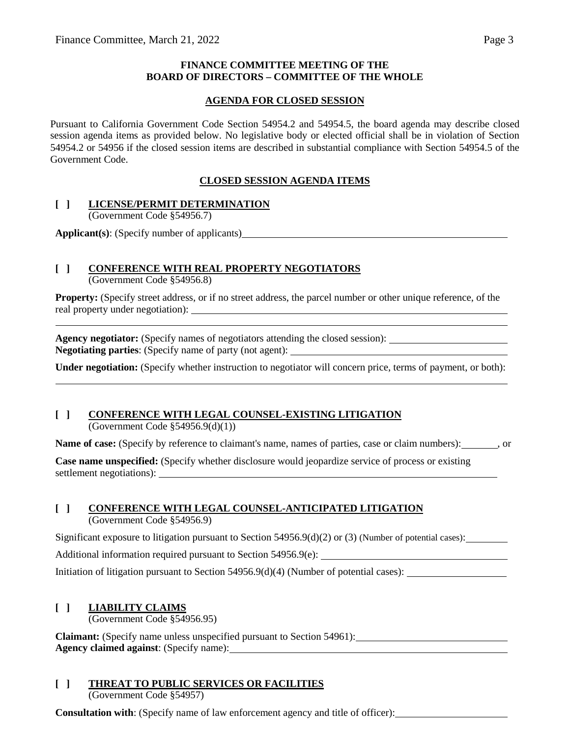### **FINANCE COMMITTEE MEETING OF THE BOARD OF DIRECTORS – COMMITTEE OF THE WHOLE**

### **AGENDA FOR CLOSED SESSION**

Pursuant to California Government Code Section 54954.2 and 54954.5, the board agenda may describe closed session agenda items as provided below. No legislative body or elected official shall be in violation of Section 54954.2 or 54956 if the closed session items are described in substantial compliance with Section 54954.5 of the Government Code.

## **CLOSED SESSION AGENDA ITEMS**

### **[ ] LICENSE/PERMIT DETERMINATION**

(Government Code §54956.7)

**Applicant(s)**: (Specify number of applicants)

# **[ ] CONFERENCE WITH REAL PROPERTY NEGOTIATORS**

(Government Code §54956.8)

**Property:** (Specify street address, or if no street address, the parcel number or other unique reference, of the real property under negotiation):

**Agency negotiator:** (Specify names of negotiators attending the closed session): **Negotiating parties**: (Specify name of party (not agent):

**Under negotiation:** (Specify whether instruction to negotiator will concern price, terms of payment, or both):

# **[ ] CONFERENCE WITH LEGAL COUNSEL-EXISTING LITIGATION**

(Government Code §54956.9(d)(1))

**Name of case:** (Specify by reference to claimant's name, names of parties, case or claim numbers): , or

**Case name unspecified:** (Specify whether disclosure would jeopardize service of process or existing settlement negotiations):

## **[ ] CONFERENCE WITH LEGAL COUNSEL-ANTICIPATED LITIGATION**

(Government Code §54956.9)

Significant exposure to litigation pursuant to Section 54956.9(d)(2) or (3) (Number of potential cases):

Additional information required pursuant to Section 54956.9(e):

Initiation of litigation pursuant to Section 54956.9(d)(4) (Number of potential cases): \_\_\_\_\_\_\_\_\_\_\_\_\_\_\_\_\_\_\_\_\_\_

## **[ ] LIABILITY CLAIMS**

(Government Code §54956.95)

**Claimant:** (Specify name unless unspecified pursuant to Section 54961): **Agency claimed against**: (Specify name):

# **[ ] THREAT TO PUBLIC SERVICES OR FACILITIES**

(Government Code §54957)

**Consultation with**: (Specify name of law enforcement agency and title of officer):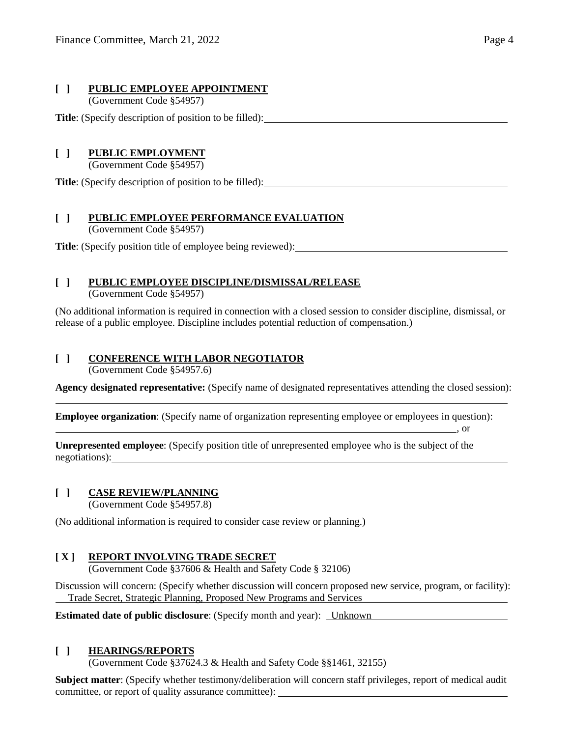## **[ ] PUBLIC EMPLOYEE APPOINTMENT**

(Government Code §54957)

**Title**: (Specify description of position to be filled):

# **[ ] PUBLIC EMPLOYMENT**

(Government Code §54957)

**Title**: (Specify description of position to be filled):

# **[ ] PUBLIC EMPLOYEE PERFORMANCE EVALUATION**

(Government Code §54957)

**Title**: (Specify position title of employee being reviewed):

# **[ ] PUBLIC EMPLOYEE DISCIPLINE/DISMISSAL/RELEASE**

(Government Code §54957)

(No additional information is required in connection with a closed session to consider discipline, dismissal, or release of a public employee. Discipline includes potential reduction of compensation.)

# **[ ] CONFERENCE WITH LABOR NEGOTIATOR**

(Government Code §54957.6)

**Agency designated representative:** (Specify name of designated representatives attending the closed session):

**Employee organization**: (Specify name of organization representing employee or employees in question):

**Unrepresented employee**: (Specify position title of unrepresented employee who is the subject of the negotiations):

# **[ ] CASE REVIEW/PLANNING**

(Government Code §54957.8)

(No additional information is required to consider case review or planning.)

# **[ X ] REPORT INVOLVING TRADE SECRET**

(Government Code §37606 & Health and Safety Code § 32106)

Discussion will concern: (Specify whether discussion will concern proposed new service, program, or facility): Trade Secret, Strategic Planning, Proposed New Programs and Services

**Estimated date of public disclosure**: (Specify month and year): Unknown

# **[ ] HEARINGS/REPORTS**

(Government Code §37624.3 & Health and Safety Code §§1461, 32155)

**Subject matter**: (Specify whether testimony/deliberation will concern staff privileges, report of medical audit committee, or report of quality assurance committee):

, or